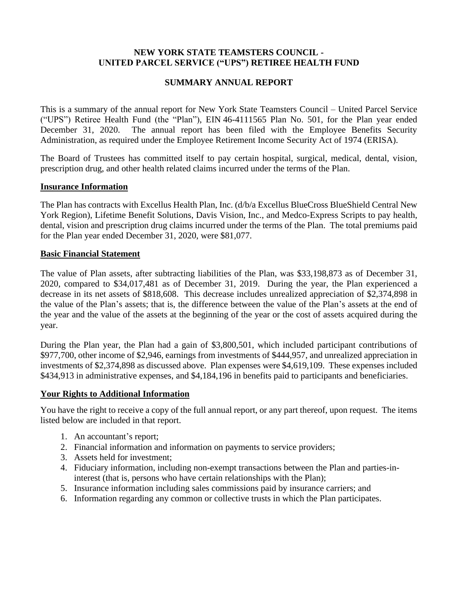# **NEW YORK STATE TEAMSTERS COUNCIL - UNITED PARCEL SERVICE ("UPS") RETIREE HEALTH FUND**

# **SUMMARY ANNUAL REPORT**

This is a summary of the annual report for New York State Teamsters Council – United Parcel Service ("UPS") Retiree Health Fund (the "Plan"), EIN 46-4111565 Plan No. 501, for the Plan year ended December 31, 2020. The annual report has been filed with the Employee Benefits Security Administration, as required under the Employee Retirement Income Security Act of 1974 (ERISA).

The Board of Trustees has committed itself to pay certain hospital, surgical, medical, dental, vision, prescription drug, and other health related claims incurred under the terms of the Plan.

### **Insurance Information**

The Plan has contracts with Excellus Health Plan, Inc. (d/b/a Excellus BlueCross BlueShield Central New York Region), Lifetime Benefit Solutions, Davis Vision, Inc., and Medco-Express Scripts to pay health, dental, vision and prescription drug claims incurred under the terms of the Plan. The total premiums paid for the Plan year ended December 31, 2020, were \$81,077.

#### **Basic Financial Statement**

The value of Plan assets, after subtracting liabilities of the Plan, was \$33,198,873 as of December 31, 2020, compared to \$34,017,481 as of December 31, 2019. During the year, the Plan experienced a decrease in its net assets of \$818,608. This decrease includes unrealized appreciation of \$2,374,898 in the value of the Plan's assets; that is, the difference between the value of the Plan's assets at the end of the year and the value of the assets at the beginning of the year or the cost of assets acquired during the year.

During the Plan year, the Plan had a gain of \$3,800,501, which included participant contributions of \$977,700, other income of \$2,946, earnings from investments of \$444,957, and unrealized appreciation in investments of \$2,374,898 as discussed above. Plan expenses were \$4,619,109. These expenses included \$434,913 in administrative expenses, and \$4,184,196 in benefits paid to participants and beneficiaries.

### **Your Rights to Additional Information**

You have the right to receive a copy of the full annual report, or any part thereof, upon request. The items listed below are included in that report.

- 1. An accountant's report;
- 2. Financial information and information on payments to service providers;
- 3. Assets held for investment;
- 4. Fiduciary information, including non-exempt transactions between the Plan and parties-ininterest (that is, persons who have certain relationships with the Plan);
- 5. Insurance information including sales commissions paid by insurance carriers; and
- 6. Information regarding any common or collective trusts in which the Plan participates.